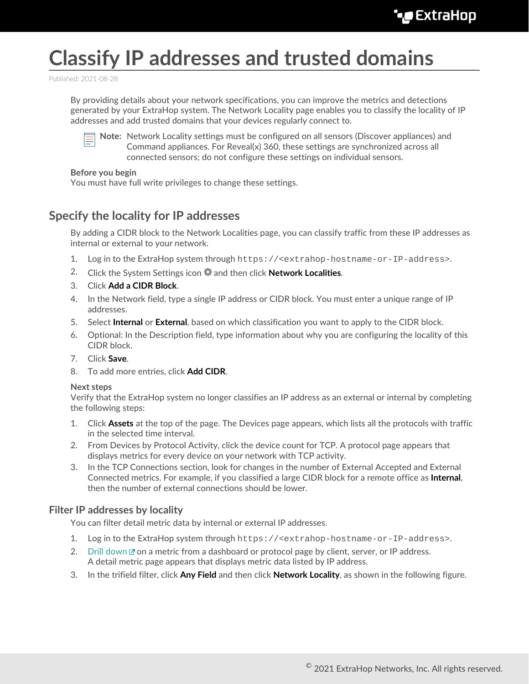# **Classify IP addresses and trusted domains**

Published: 2021-08-28

By providing details about your network specifications, you can improve the metrics and detections generated by your ExtraHop system. The Network Locality page enables you to classify the locality of IP addresses and add trusted domains that your devices regularly connect to.



**Note:** Network Locality settings must be configured on all sensors (Discover appliances) and Command appliances. For Reveal(x) 360, these settings are synchronized across all connected sensors; do not configure these settings on individual sensors.

#### **Before you begin**

You must have full write privileges to change these settings.

## **Specify the locality for IP addresses**

By adding a CIDR block to the Network Localities page, you can classify traffic from these IP addresses as internal or external to your network.

- 1. Log in to the ExtraHop system through https://<extrahop-hostname-or-IP-address>.
- 2. Click the System Settings icon and then click **Network Localities**.
- 3. Click **Add a CIDR Block**.
- 4. In the Network field, type a single IP address or CIDR block. You must enter a unique range of IP addresses.
- 5. Select **Internal** or **External**, based on which classification you want to apply to the CIDR block.
- 6. Optional: In the Description field, type information about why you are configuring the locality of this CIDR block.
- 7. Click **Save**.
- 8. To add more entries, click **Add CIDR**.

#### **Next steps**

Verify that the ExtraHop system no longer classifies an IP address as an external or internal by completing the following steps:

- 1. Click **Assets** at the top of the page. The Devices page appears, which lists all the protocols with traffic in the selected time interval.
- 2. From Devices by Protocol Activity, click the device count for TCP. A protocol page appears that displays metrics for every device on your network with TCP activity.
- 3. In the TCP Connections section, look for changes in the number of External Accepted and External Connected metrics. For example, if you classified a large CIDR block for a remote office as **Internal**, then the number of external connections should be lower.

#### **Filter IP addresses by locality**

You can filter detail metric data by internal or external IP addresses.

- 1. Log in to the ExtraHop system through https://<extrahop-hostname-or-IP-address>.
- 2. [Drill down](https://docs.extrahop.com/8.4/drill-down)  $\mathbb Z$  on a metric from a dashboard or protocol page by client, server, or IP address. A detail metric page appears that displays metric data listed by IP address.
- 3. In the trifield filter, click **Any Field** and then click **Network Locality**, as shown in the following figure.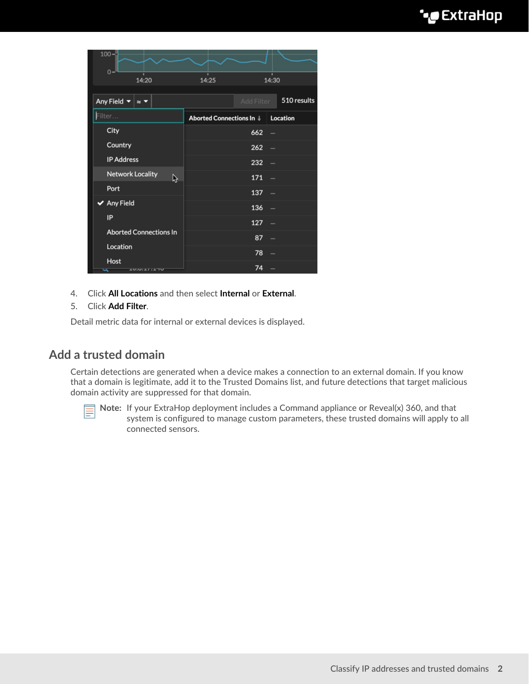| $100 -$<br>$0 -$                                                 |                                   |            |                          |
|------------------------------------------------------------------|-----------------------------------|------------|--------------------------|
| 14:20                                                            | 14:25                             |            | 14:30                    |
| Any Field $\blacktriangledown$<br>$\approx$ $\blacktriangledown$ |                                   | Add Filter | 510 results              |
| Filter                                                           | Aborted Connections In   Location |            |                          |
| City                                                             |                                   | 662        | $\overline{\phantom{0}}$ |
| Country                                                          |                                   | 262        | $\overline{\phantom{0}}$ |
| <b>IP Address</b>                                                |                                   | 232        | -                        |
| <b>Network Locality</b><br>ß                                     |                                   | 171        | -                        |
| Port                                                             |                                   | 137        | -                        |
| $\blacktriangleright$ Any Field                                  |                                   | 136        | -                        |
| IP                                                               |                                   | 127        | $\overline{\phantom{0}}$ |
| <b>Aborted Connections In</b>                                    |                                   | 87         | -                        |
| Location                                                         |                                   | 78         |                          |
| Host<br><b>AUGULA / LATU</b><br>∽                                |                                   | 74         |                          |

4. Click **All Locations** and then select **Internal** or **External**.

#### 5. Click **Add Filter**.

Detail metric data for internal or external devices is displayed.

### **Add a trusted domain**

Certain detections are generated when a device makes a connection to an external domain. If you know that a domain is legitimate, add it to the Trusted Domains list, and future detections that target malicious domain activity are suppressed for that domain.



**Note:** If your ExtraHop deployment includes a Command appliance or Reveal(x) 360, and that system is configured to manage custom parameters, these trusted domains will apply to all connected sensors.